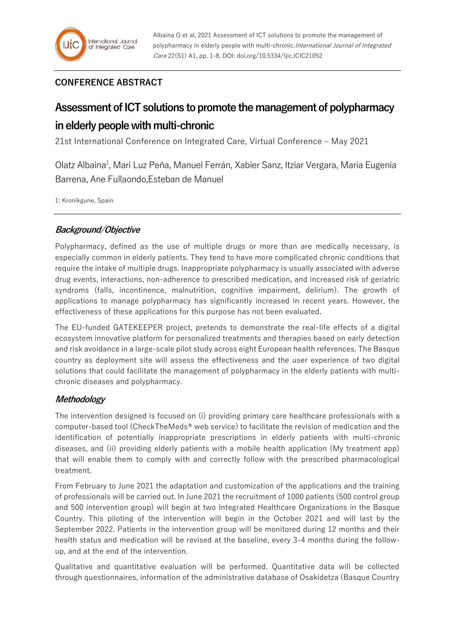## **CONFERENCE ABSTRACT**

# **Assessment of ICT solutions to promote the management of polypharmacy in elderly people with multi-chronic**

21st International Conference on Integrated Care, Virtual Conference – May 2021

Olatz Albaina<sup>1</sup>, Mari Luz Peña, Manuel Ferrán, Xabier Sanz, Itziar Vergara, María Eugenia Barrena, Ane Fullaondo,Esteban de Manuel

1: Kronikgune, Spain

### **Background/Objective**

Polypharmacy, defined as the use of multiple drugs or more than are medically necessary, is especially common in elderly patients. They tend to have more complicated chronic conditions that require the intake of multiple drugs. Inappropriate polypharmacy is usually associated with adverse drug events, interactions, non-adherence to prescribed medication, and increased risk of geriatric syndroms (falls, incontinence, malnutrition, cognitive impairment, delirium). The growth of applications to manage polypharmacy has significantly increased in recent years. However, the effectiveness of these applications for this purpose has not been evaluated.

The EU-funded GATEKEEPER project, pretends to demonstrate the real-life effects of a digital ecosystem innovative platform for personalized treatments and therapies based on early detection and risk avoidance in a large-scale pilot study across eight European health references. The Basque country as deployment site will assess the effectiveness and the user experience of two digital solutions that could facilitate the management of polypharmacy in the elderly patients with multichronic diseases and polypharmacy.

#### **Methodology**

The intervention designed is focused on (i) providing primary care healthcare professionals with a computer-based tool (CheckTheMeds® web service) to facilitate the revision of medication and the identification of potentially inappropriate prescriptions in elderly patients with multi-chronic diseases, and (ii) providing elderly patients with a mobile health application (My treatment app) that will enable them to comply with and correctly follow with the prescribed pharmacological treatment.

From February to June 2021 the adaptation and customization of the applications and the training of professionals will be carried out. In June 2021 the recruitment of 1000 patients (500 control group and 500 intervention group) will begin at two Integrated Healthcare Organizations in the Basque Country. This piloting of the intervention will begin in the October 2021 and will last by the September 2022. Patients in the intervention group will be monitored during 12 months and their health status and medication will be revised at the baseline, every 3-4 months during the followup, and at the end of the intervention.

Qualitative and quantitative evaluation will be performed. Quantitative data will be collected through questionnaires, information of the administrative database of Osakidetza (Basque Country